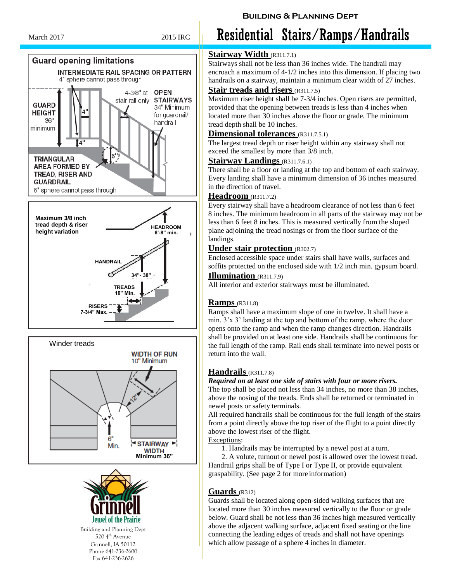#### **Building & Planning Dept**







Building and Planning Dept 520 4th Avenue Grinnell, IA 50112 Phone 641-236-2600 Fax 641-236-2626

Jewel of the Prairie

# Residential Stairs/Ramps/Handrails

# **Stairway Width** (R311.7.1)

Stairways shall not be less than 36 inches wide. The handrail may encroach a maximum of 4-1/2 inches into this dimension. If placing two handrails on a stairway, maintain a minimum clear width of 27 inches.

#### **Stair treads and risers (R311.7.5)**

Maximum riser height shall be 7-3/4 inches. Open risers are permitted, provided that the opening between treads is less than 4 inches when located more than 30 inches above the floor or grade. The minimum tread depth shall be 10 inches.

#### **Dimensional tolerances** (R311.7.5.1)

The largest tread depth or riser height within any stairway shall not exceed the smallest by more than 3/8 inch.

#### **Stairway Landings** (R311.7.6.1)

There shall be a floor or landing at the top and bottom of each stairway. Every landing shall have a minimum dimension of 36 inches measured in the direction of travel.

## **Headroom** (R311.7.2)

Every stairway shall have a headroom clearance of not less than 6 feet 8 inches. The minimum headroom in all parts of the stairway may not be less than 6 feet 8 inches. This is measured vertically from the sloped plane adjoining the tread nosings or from the floor surface of the landings.

## **Under stair protection** (R302.7)

Enclosed accessible space under stairs shall have walls, surfaces and soffits protected on the enclosed side with 1/2 inch min. gypsum board.

# **Illumination** (R311.7.9)

All interior and exterior stairways must be illuminated.

## **Ramps** (R311.8)

Ramps shall have a maximum slope of one in twelve. It shall have a min. 3'x 3' landing at the top and bottom of the ramp, where the door opens onto the ramp and when the ramp changes direction. Handrails shall be provided on at least one side. Handrails shall be continuous for the full length of the ramp. Rail ends shall terminate into newel posts or return into the wall.

# **Handrails** (R311.7.8)

#### *Required on at least one side of stairs with four or more risers.*

The top shall be placed not less than 34 inches, no more than 38 inches, above the nosing of the treads. Ends shall be returned or terminated in newel posts or safety terminals.

All required handrails shall be continuous for the full length of the stairs from a point directly above the top riser of the flight to a point directly above the lowest riser of the flight.

#### Exceptions:

1. Handrails may be interrupted by a newel post at a turn.

2. A volute, turnout or newel post is allowed over the lowest tread. Handrail grips shall be of Type I or Type II, or provide equivalent graspability. (See page 2 for more information)

# **Guards** (R312)

Guards shall be located along open-sided walking surfaces that are located more than 30 inches measured vertically to the floor or grade below. Guard shall be not less than 36 inches high measured vertically above the adjacent walking surface, adjacent fixed seating or the line connecting the leading edges of treads and shall not have openings which allow passage of a sphere 4 inches in diameter.